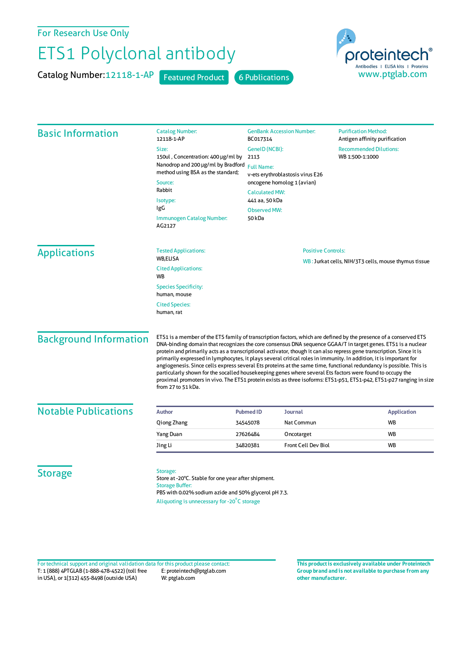For Research Use Only

## ETS1 Polyclonal antibody

Catalog Number: 12118-1-AP Featured Product 6 Publications



| <b>Basic Information</b>      | <b>Catalog Number:</b><br>12118-1-AP                                                                                                                                                                                                                                                                                                                                                                                                                                                                                                                                                                                                                                                                                                                                                                                                                             | <b>GenBank Accession Number:</b><br>BC017314<br>GenelD (NCBI):<br>2113                                                                                   |                     | <b>Purification Method:</b><br>Antigen affinity purification<br><b>Recommended Dilutions:</b><br>WB 1:500-1:1000 |                                 |
|-------------------------------|------------------------------------------------------------------------------------------------------------------------------------------------------------------------------------------------------------------------------------------------------------------------------------------------------------------------------------------------------------------------------------------------------------------------------------------------------------------------------------------------------------------------------------------------------------------------------------------------------------------------------------------------------------------------------------------------------------------------------------------------------------------------------------------------------------------------------------------------------------------|----------------------------------------------------------------------------------------------------------------------------------------------------------|---------------------|------------------------------------------------------------------------------------------------------------------|---------------------------------|
|                               | Size:<br>150ul, Concentration: 400 µg/ml by<br>Nanodrop and 200 µg/ml by Bradford                                                                                                                                                                                                                                                                                                                                                                                                                                                                                                                                                                                                                                                                                                                                                                                |                                                                                                                                                          |                     |                                                                                                                  |                                 |
|                               | method using BSA as the standard;<br>Source:                                                                                                                                                                                                                                                                                                                                                                                                                                                                                                                                                                                                                                                                                                                                                                                                                     | <b>Full Name:</b><br>v-ets erythroblastosis virus E26<br>oncogene homolog 1 (avian)<br><b>Calculated MW:</b><br>441 aa, 50 kDa<br>Observed MW:<br>50 kDa |                     |                                                                                                                  |                                 |
|                               | Rabbit                                                                                                                                                                                                                                                                                                                                                                                                                                                                                                                                                                                                                                                                                                                                                                                                                                                           |                                                                                                                                                          |                     |                                                                                                                  |                                 |
|                               | Isotype:                                                                                                                                                                                                                                                                                                                                                                                                                                                                                                                                                                                                                                                                                                                                                                                                                                                         |                                                                                                                                                          |                     |                                                                                                                  |                                 |
|                               | IgG<br>Immunogen Catalog Number:<br>AG2127                                                                                                                                                                                                                                                                                                                                                                                                                                                                                                                                                                                                                                                                                                                                                                                                                       |                                                                                                                                                          |                     |                                                                                                                  |                                 |
| <b>Applications</b>           | <b>Tested Applications:</b><br><b>WB,ELISA</b>                                                                                                                                                                                                                                                                                                                                                                                                                                                                                                                                                                                                                                                                                                                                                                                                                   | <b>Positive Controls:</b>                                                                                                                                |                     |                                                                                                                  |                                 |
|                               | <b>Cited Applications:</b><br><b>WB</b>                                                                                                                                                                                                                                                                                                                                                                                                                                                                                                                                                                                                                                                                                                                                                                                                                          | WB: Jurkat cells, NIH/3T3 cells, mouse thymus tissue                                                                                                     |                     |                                                                                                                  |                                 |
|                               | <b>Species Specificity:</b><br>human, mouse                                                                                                                                                                                                                                                                                                                                                                                                                                                                                                                                                                                                                                                                                                                                                                                                                      |                                                                                                                                                          |                     |                                                                                                                  |                                 |
|                               | <b>Cited Species:</b><br>human, rat                                                                                                                                                                                                                                                                                                                                                                                                                                                                                                                                                                                                                                                                                                                                                                                                                              |                                                                                                                                                          |                     |                                                                                                                  |                                 |
| <b>Background Information</b> | ETS1 is a member of the ETS family of transcription factors, which are defined by the presence of a conserved ETS<br>DNA-binding domain that recognizes the core consensus DNA sequence GGAA/T in target genes. ETS1 is a nuclear<br>protein and primarily acts as a transcriptional activator, though it can also repress gene transcription. Since it is<br>primarily expressed in lymphocytes, it plays several critical roles in immunity. In addition, it is important for<br>angiogenesis. Since cells express several Ets proteins at the same time, functional redundancy is possible. This is<br>particularly shown for the socalled housekeeping genes where several Ets factors were found to occupy the<br>proximal promoters in vivo. The ETS1 protein exists as three isoforms: ETS1-p51, ETS1-p42, ETS1-p27 ranging in size<br>from 27 to 51 kDa. |                                                                                                                                                          |                     |                                                                                                                  |                                 |
| <b>Notable Publications</b>   | <b>Author</b>                                                                                                                                                                                                                                                                                                                                                                                                                                                                                                                                                                                                                                                                                                                                                                                                                                                    | Journal                                                                                                                                                  |                     |                                                                                                                  |                                 |
|                               | Qiong Zhang                                                                                                                                                                                                                                                                                                                                                                                                                                                                                                                                                                                                                                                                                                                                                                                                                                                      | <b>Pubmed ID</b><br>34545078                                                                                                                             | Nat Commun          |                                                                                                                  | <b>Application</b><br><b>WB</b> |
|                               | Yang Duan                                                                                                                                                                                                                                                                                                                                                                                                                                                                                                                                                                                                                                                                                                                                                                                                                                                        | 27626484                                                                                                                                                 | Oncotarget          |                                                                                                                  | <b>WB</b>                       |
|                               | Jing Li                                                                                                                                                                                                                                                                                                                                                                                                                                                                                                                                                                                                                                                                                                                                                                                                                                                          | 34820381                                                                                                                                                 | Front Cell Dev Biol |                                                                                                                  | WB                              |
| <b>Storage</b>                | Storage:<br>Store at -20°C. Stable for one year after shipment.<br><b>Storage Buffer:</b><br>PBS with 0.02% sodium azide and 50% glycerol pH 7.3.<br>Aliquoting is unnecessary for -20°C storage                                                                                                                                                                                                                                                                                                                                                                                                                                                                                                                                                                                                                                                                 |                                                                                                                                                          |                     |                                                                                                                  |                                 |

T: 1 (888) 4PTGLAB (1-888-478-4522) (toll free in USA), or 1(312) 455-8498 (outside USA) E: proteintech@ptglab.com W: ptglab.com Fortechnical support and original validation data forthis product please contact: **This productis exclusively available under Proteintech**

**Group brand and is not available to purchase from any other manufacturer.**